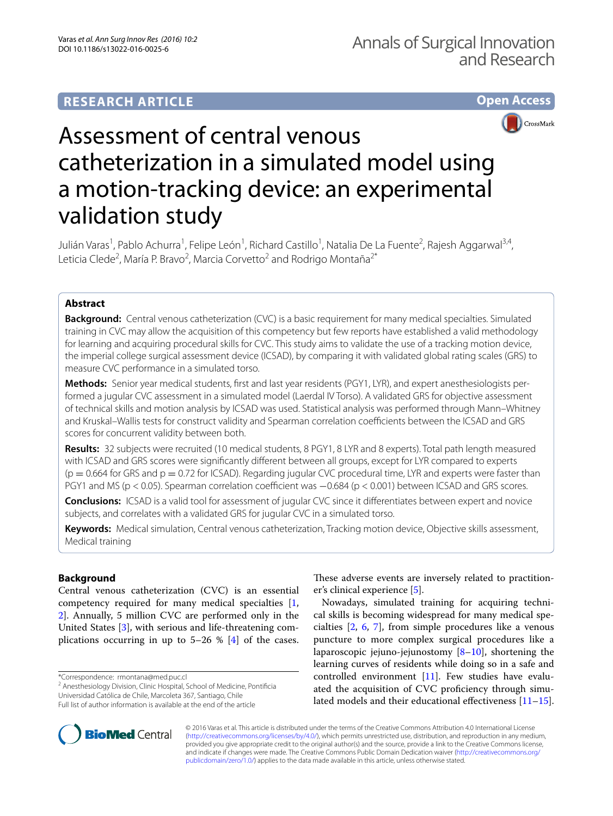



# Assessment of central venous catheterization in a simulated model using a motion-tracking device: an experimental validation study

Julián Varas<sup>1</sup>, Pablo Achurra<sup>1</sup>, Felipe León<sup>1</sup>, Richard Castillo<sup>1</sup>, Natalia De La Fuente<sup>2</sup>, Rajesh Aggarwal<sup>3,4</sup>, Leticia Clede<sup>2</sup>, María P. Bravo<sup>2</sup>, Marcia Corvetto<sup>2</sup> and Rodrigo Montaña<sup>2\*</sup>

# **Abstract**

**Background:** Central venous catheterization (CVC) is a basic requirement for many medical specialties. Simulated training in CVC may allow the acquisition of this competency but few reports have established a valid methodology for learning and acquiring procedural skills for CVC. This study aims to validate the use of a tracking motion device, the imperial college surgical assessment device (ICSAD), by comparing it with validated global rating scales (GRS) to measure CVC performance in a simulated torso.

**Methods:** Senior year medical students, first and last year residents (PGY1, LYR), and expert anesthesiologists performed a jugular CVC assessment in a simulated model (Laerdal IV Torso). A validated GRS for objective assessment of technical skills and motion analysis by ICSAD was used. Statistical analysis was performed through Mann–Whitney and Kruskal–Wallis tests for construct validity and Spearman correlation coefficients between the ICSAD and GRS scores for concurrent validity between both.

**Results:** 32 subjects were recruited (10 medical students, 8 PGY1, 8 LYR and 8 experts). Total path length measured with ICSAD and GRS scores were significantly different between all groups, except for LYR compared to experts  $(p = 0.664$  for GRS and  $p = 0.72$  for ICSAD). Regarding jugular CVC procedural time, LYR and experts were faster than PGY1 and MS (p < 0.05). Spearman correlation coefficient was −0.684 (p < 0.001) between ICSAD and GRS scores.

**Conclusions:** ICSAD is a valid tool for assessment of jugular CVC since it differentiates between expert and novice subjects, and correlates with a validated GRS for jugular CVC in a simulated torso.

**Keywords:** Medical simulation, Central venous catheterization, Tracking motion device, Objective skills assessment, Medical training

## **Background**

Central venous catheterization (CVC) is an essential competency required for many medical specialties [\[1](#page-3-0), [2\]](#page-4-0). Annually, 5 million CVC are performed only in the United States [\[3](#page-4-1)], with serious and life-threatening complications occurring in up to  $5-26$  %  $[4]$  $[4]$  of the cases.

\*Correspondence: rmontana@med.puc.cl

<sup>2</sup> Anesthesiology Division, Clinic Hospital, School of Medicine, Pontificia Universidad Católica de Chile, Marcoleta 367, Santiago, Chile Full list of author information is available at the end of the article

These adverse events are inversely related to practitioner's clinical experience [[5\]](#page-4-3).

Nowadays, simulated training for acquiring technical skills is becoming widespread for many medical specialties [\[2](#page-4-0), [6,](#page-4-4) [7\]](#page-4-5), from simple procedures like a venous puncture to more complex surgical procedures like a laparoscopic jejuno-jejunostomy  $[8-10]$  $[8-10]$ , shortening the learning curves of residents while doing so in a safe and controlled environment [\[11\]](#page-4-8). Few studies have evaluated the acquisition of CVC proficiency through simulated models and their educational effectiveness [[11](#page-4-8)[–15](#page-4-9)].



© 2016 Varas et al. This article is distributed under the terms of the Creative Commons Attribution 4.0 International License [\(http://creativecommons.org/licenses/by/4.0/\)](http://creativecommons.org/licenses/by/4.0/), which permits unrestricted use, distribution, and reproduction in any medium, provided you give appropriate credit to the original author(s) and the source, provide a link to the Creative Commons license, and indicate if changes were made. The Creative Commons Public Domain Dedication waiver ([http://creativecommons.org/](http://creativecommons.org/publicdomain/zero/1.0/) [publicdomain/zero/1.0/](http://creativecommons.org/publicdomain/zero/1.0/)) applies to the data made available in this article, unless otherwise stated.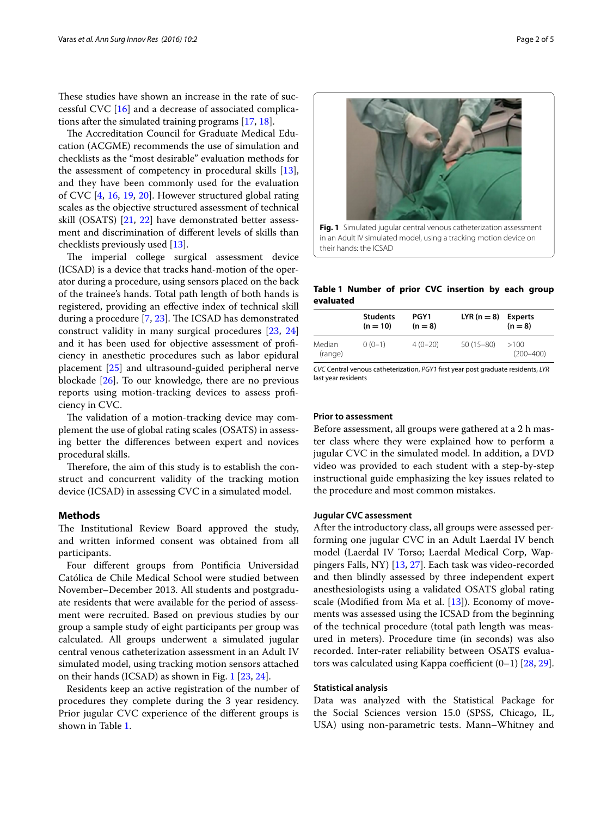These studies have shown an increase in the rate of successful CVC [[16\]](#page-4-10) and a decrease of associated complications after the simulated training programs [\[17](#page-4-11), [18\]](#page-4-12).

The Accreditation Council for Graduate Medical Education (ACGME) recommends the use of simulation and checklists as the "most desirable" evaluation methods for the assessment of competency in procedural skills [\[13](#page-4-13)], and they have been commonly used for the evaluation of CVC [[4](#page-4-2), [16,](#page-4-10) [19,](#page-4-14) [20\]](#page-4-15). However structured global rating scales as the objective structured assessment of technical skill (OSATS) [\[21](#page-4-16), [22\]](#page-4-17) have demonstrated better assessment and discrimination of different levels of skills than checklists previously used [\[13\]](#page-4-13).

The imperial college surgical assessment device (ICSAD) is a device that tracks hand-motion of the operator during a procedure, using sensors placed on the back of the trainee's hands. Total path length of both hands is registered, providing an effective index of technical skill during a procedure [[7,](#page-4-5) [23](#page-4-18)]. The ICSAD has demonstrated construct validity in many surgical procedures [\[23](#page-4-18), [24](#page-4-19)] and it has been used for objective assessment of proficiency in anesthetic procedures such as labor epidural placement [\[25\]](#page-4-20) and ultrasound-guided peripheral nerve blockade [[26\]](#page-4-21). To our knowledge, there are no previous reports using motion-tracking devices to assess proficiency in CVC.

The validation of a motion-tracking device may complement the use of global rating scales (OSATS) in assessing better the differences between expert and novices procedural skills.

Therefore, the aim of this study is to establish the construct and concurrent validity of the tracking motion device (ICSAD) in assessing CVC in a simulated model.

#### **Methods**

The Institutional Review Board approved the study, and written informed consent was obtained from all participants.

Four different groups from Pontificia Universidad Católica de Chile Medical School were studied between November–December 2013. All students and postgraduate residents that were available for the period of assessment were recruited. Based on previous studies by our group a sample study of eight participants per group was calculated. All groups underwent a simulated jugular central venous catheterization assessment in an Adult IV simulated model, using tracking motion sensors attached on their hands (ICSAD) as shown in Fig. [1](#page-1-0) [[23,](#page-4-18) [24](#page-4-19)].

Residents keep an active registration of the number of procedures they complete during the 3 year residency. Prior jugular CVC experience of the different groups is shown in Table [1.](#page-1-1)



<span id="page-1-0"></span>in an Adult IV simulated model, using a tracking motion device on their hands: the ICSAD

<span id="page-1-1"></span>**Table 1 Number of prior CVC insertion by each group evaluated**

|                   | <b>Students</b><br>$(n = 10)$ | PGY1<br>$(n = 8)$ | $LYR(n = 8)$ Experts | $(n = 8)$             |
|-------------------|-------------------------------|-------------------|----------------------|-----------------------|
| Median<br>(range) | $0(0-1)$                      | $4(0-20)$         | $50(15-80)$          | >100<br>$(200 - 400)$ |

*CVC* Central venous catheterization, *PGY1* first year post graduate residents, *LYR* last year residents

## **Prior to assessment**

Before assessment, all groups were gathered at a 2 h master class where they were explained how to perform a jugular CVC in the simulated model. In addition, a DVD video was provided to each student with a step-by-step instructional guide emphasizing the key issues related to the procedure and most common mistakes.

## **Jugular CVC assessment**

After the introductory class, all groups were assessed performing one jugular CVC in an Adult Laerdal IV bench model (Laerdal IV Torso; Laerdal Medical Corp, Wappingers Falls, NY) [[13,](#page-4-13) [27](#page-4-22)]. Each task was video-recorded and then blindly assessed by three independent expert anesthesiologists using a validated OSATS global rating scale (Modified from Ma et al. [\[13](#page-4-13)]). Economy of movements was assessed using the ICSAD from the beginning of the technical procedure (total path length was measured in meters). Procedure time (in seconds) was also recorded. Inter-rater reliability between OSATS evaluators was calculated using Kappa coefficient (0–1) [[28,](#page-4-23) [29](#page-4-24)].

## **Statistical analysis**

Data was analyzed with the Statistical Package for the Social Sciences version 15.0 (SPSS, Chicago, IL, USA) using non-parametric tests. Mann–Whitney and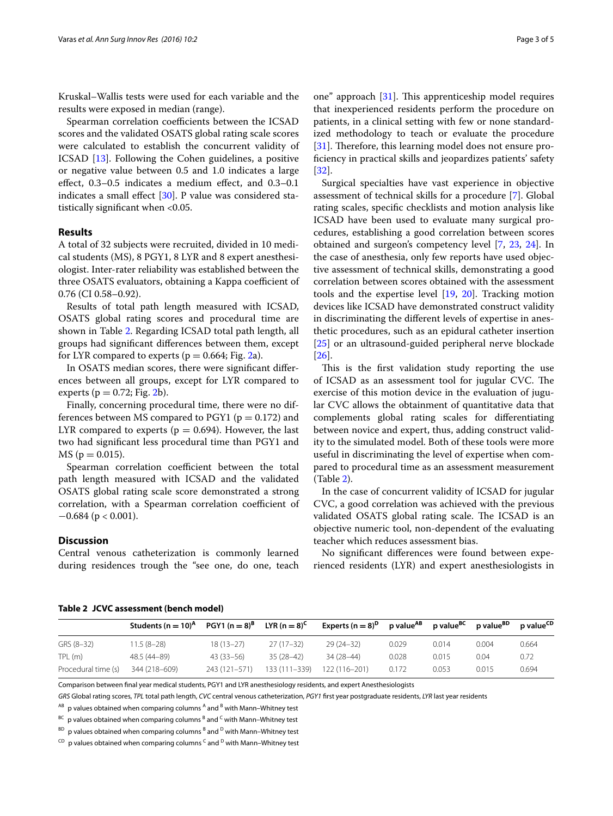Kruskal–Wallis tests were used for each variable and the results were exposed in median (range).

Spearman correlation coefficients between the ICSAD scores and the validated OSATS global rating scale scores were calculated to establish the concurrent validity of ICSAD [[13\]](#page-4-13). Following the Cohen guidelines, a positive or negative value between 0.5 and 1.0 indicates a large effect, 0.3–0.5 indicates a medium effect, and 0.3–0.1 indicates a small effect [\[30](#page-4-25)]. P value was considered statistically significant when <0.05.

## **Results**

A total of 32 subjects were recruited, divided in 10 medical students (MS), 8 PGY1, 8 LYR and 8 expert anesthesiologist. Inter-rater reliability was established between the three OSATS evaluators, obtaining a Kappa coefficient of 0.76 (CI 0.58–0.92).

Results of total path length measured with ICSAD, OSATS global rating scores and procedural time are shown in Table [2.](#page-2-0) Regarding ICSAD total path length, all groups had significant differences between them, except for LYR compared to experts ( $p = 0.664$ ; Fig. [2a](#page-3-1)).

In OSATS median scores, there were significant differences between all groups, except for LYR compared to experts ( $p = 0.72$ ; Fig. [2](#page-3-1)b).

Finally, concerning procedural time, there were no differences between MS compared to PGY1 ( $p = 0.172$ ) and LYR compared to experts ( $p = 0.694$ ). However, the last two had significant less procedural time than PGY1 and  $MS (p = 0.015).$ 

Spearman correlation coefficient between the total path length measured with ICSAD and the validated OSATS global rating scale score demonstrated a strong correlation, with a Spearman correlation coefficient of  $-0.684$  (p < 0.001).

## **Discussion**

Central venous catheterization is commonly learned during residences trough the "see one, do one, teach

one" approach [[31\]](#page-4-26). This apprenticeship model requires that inexperienced residents perform the procedure on patients, in a clinical setting with few or none standardized methodology to teach or evaluate the procedure [[31\]](#page-4-26). Therefore, this learning model does not ensure proficiency in practical skills and jeopardizes patients' safety [[32\]](#page-4-27).

Surgical specialties have vast experience in objective assessment of technical skills for a procedure [\[7\]](#page-4-5). Global rating scales, specific checklists and motion analysis like ICSAD have been used to evaluate many surgical procedures, establishing a good correlation between scores obtained and surgeon's competency level [\[7,](#page-4-5) [23,](#page-4-18) [24\]](#page-4-19). In the case of anesthesia, only few reports have used objective assessment of technical skills, demonstrating a good correlation between scores obtained with the assessment tools and the expertise level [[19](#page-4-14), [20\]](#page-4-15). Tracking motion devices like ICSAD have demonstrated construct validity in discriminating the different levels of expertise in anesthetic procedures, such as an epidural catheter insertion [[25\]](#page-4-20) or an ultrasound-guided peripheral nerve blockade [[26\]](#page-4-21).

This is the first validation study reporting the use of ICSAD as an assessment tool for jugular CVC. The exercise of this motion device in the evaluation of jugular CVC allows the obtainment of quantitative data that complements global rating scales for differentiating between novice and expert, thus, adding construct validity to the simulated model. Both of these tools were more useful in discriminating the level of expertise when compared to procedural time as an assessment measurement (Table [2\)](#page-2-0).

In the case of concurrent validity of ICSAD for jugular CVC, a good correlation was achieved with the previous validated OSATS global rating scale. The ICSAD is an objective numeric tool, non-dependent of the evaluating teacher which reduces assessment bias.

No significant differences were found between experienced residents (LYR) and expert anesthesiologists in

|                     | Students (n = $10$ <sup>A</sup> | PGY1 (n = $8$ ) <sup>B</sup> | LYR (n $=$ 8) <sup>C</sup> | Experts (n $=$ 8) <sup>D</sup> | p value <sup>AB</sup> | p value <sup>BC</sup> | p value <sup>BD</sup> | p value <sup>CD</sup> |
|---------------------|---------------------------------|------------------------------|----------------------------|--------------------------------|-----------------------|-----------------------|-----------------------|-----------------------|
| GRS (8-32)          | $11.5(8-28)$                    | $18(13-27)$                  | $27(17-32)$                | $29(24-32)$                    | 0.029                 | 0.014                 | 0.004                 | 0.664                 |
| TPL (m)             | 48.5 (44–89)                    | $43(33-56)$                  | $35(28-42)$                | 34 (28–44)                     | 0.028                 | 0.015                 | 0.04                  | 0.72                  |
| Procedural time (s) | 344 (218-609)                   | 243 (121-571)                | 133 (111–339)              | 122 (116-201)                  | 0.172                 | 0.053                 | 0.015                 | 0.694                 |

## <span id="page-2-0"></span>**Table 2 JCVC assessment (bench model)**

Comparison between final year medical students, PGY1 and LYR anesthesiology residents, and expert Anesthesiologists

*GRS* Global rating scores, *TPL* total path length, *CVC* central venous catheterization, *PGY1* first year postgraduate residents, *LYR* last year residents

 $A$ B p values obtained when comparing columns  $A$  and  $B$  with Mann–Whitney test

 $^{BC}$  p values obtained when comparing columns  $^B$  and  $^C$  with Mann–Whitney test

 $^{BD}$  p values obtained when comparing columns  $^B$  and  $^D$  with Mann–Whitney test

 $CD$  p values obtained when comparing columns  $CD$  and  $DD$  with Mann–Whitney test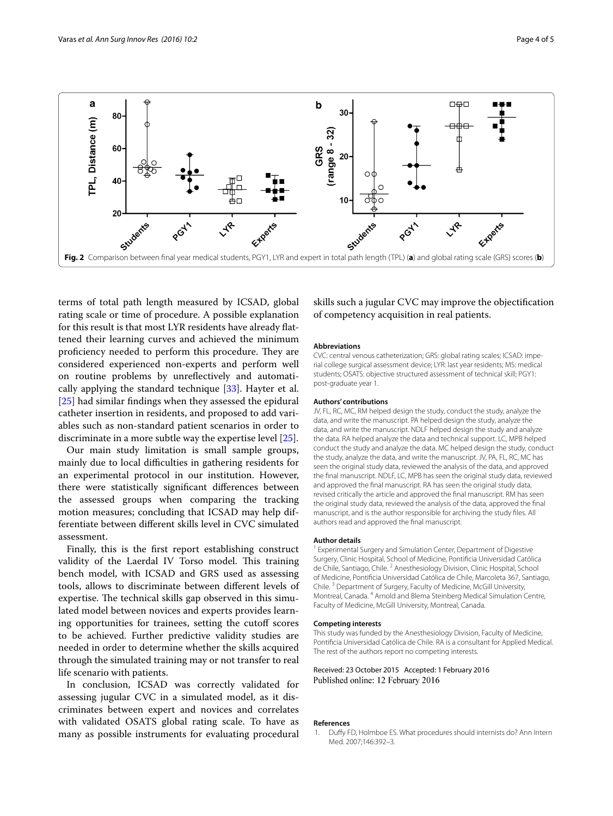

<span id="page-3-1"></span>terms of total path length measured by ICSAD, global rating scale or time of procedure. A possible explanation for this result is that most LYR residents have already flattened their learning curves and achieved the minimum proficiency needed to perform this procedure. They are considered experienced non-experts and perform well on routine problems by unreflectively and automatically applying the standard technique [\[33\]](#page-4-28). Hayter et al. [[25\]](#page-4-20) had similar findings when they assessed the epidural catheter insertion in residents, and proposed to add variables such as non-standard patient scenarios in order to discriminate in a more subtle way the expertise level [[25\]](#page-4-20).

Our main study limitation is small sample groups, mainly due to local difficulties in gathering residents for an experimental protocol in our institution. However, there were statistically significant differences between the assessed groups when comparing the tracking motion measures; concluding that ICSAD may help differentiate between different skills level in CVC simulated assessment.

Finally, this is the first report establishing construct validity of the Laerdal IV Torso model. This training bench model, with ICSAD and GRS used as assessing tools, allows to discriminate between different levels of expertise. The technical skills gap observed in this simulated model between novices and experts provides learning opportunities for trainees, setting the cutoff scores to be achieved. Further predictive validity studies are needed in order to determine whether the skills acquired through the simulated training may or not transfer to real life scenario with patients.

In conclusion, ICSAD was correctly validated for assessing jugular CVC in a simulated model, as it discriminates between expert and novices and correlates with validated OSATS global rating scale. To have as many as possible instruments for evaluating procedural skills such a jugular CVC may improve the objectification of competency acquisition in real patients.

#### **Abbreviations**

CVC: central venous catheterization; GRS: global rating scales; ICSAD: imperial college surgical assessment device; LYR: last year residents; MS: medical students; OSATS: objective structured assessment of technical skill; PGY1: post-graduate year 1.

#### **Authors' contributions**

JV, FL, RC, MC, RM helped design the study, conduct the study, analyze the data, and write the manuscript. PA helped design the study, analyze the data, and write the manuscript. NDLF helped design the study and analyze the data. RA helped analyze the data and technical support. LC, MPB helped conduct the study and analyze the data. MC helped design the study, conduct the study, analyze the data, and write the manuscript. JV, PA, FL, RC, MC has seen the original study data, reviewed the analysis of the data, and approved the final manuscript. NDLF, LC, MPB has seen the original study data, reviewed and approved the final manuscript. RA has seen the original study data, revised critically the article and approved the final manuscript. RM has seen the original study data, reviewed the analysis of the data, approved the final manuscript, and is the author responsible for archiving the study files. All authors read and approved the final manuscript.

#### **Author details**

<sup>1</sup> Experimental Surgery and Simulation Center, Department of Digestive Surgery, Clinic Hospital, School of Medicine, Pontificia Universidad Católica de Chile, Santiago, Chile. <sup>2</sup> Anesthesiology Division, Clinic Hospital, School of Medicine, Pontificia Universidad Católica de Chile, Marcoleta 367, Santiago, Chile. 3 Department of Surgery, Faculty of Medicine, McGill University, Montreal, Canada. <sup>4</sup> Arnold and Blema Steinberg Medical Simulation Centre, Faculty of Medicine, McGill University, Montreal, Canada.

#### **Competing interests**

This study was funded by the Anesthesiology Division, Faculty of Medicine, Pontificia Universidad Católica de Chile. RA is a consultant for Applied Medical. The rest of the authors report no competing interests.

Received: 23 October 2015 Accepted: 1 February 2016 Published online: 12 February 2016

#### **References**

<span id="page-3-0"></span>1. Duffy FD, Holmboe ES. What procedures should internists do? Ann Intern Med. 2007;146:392–3.